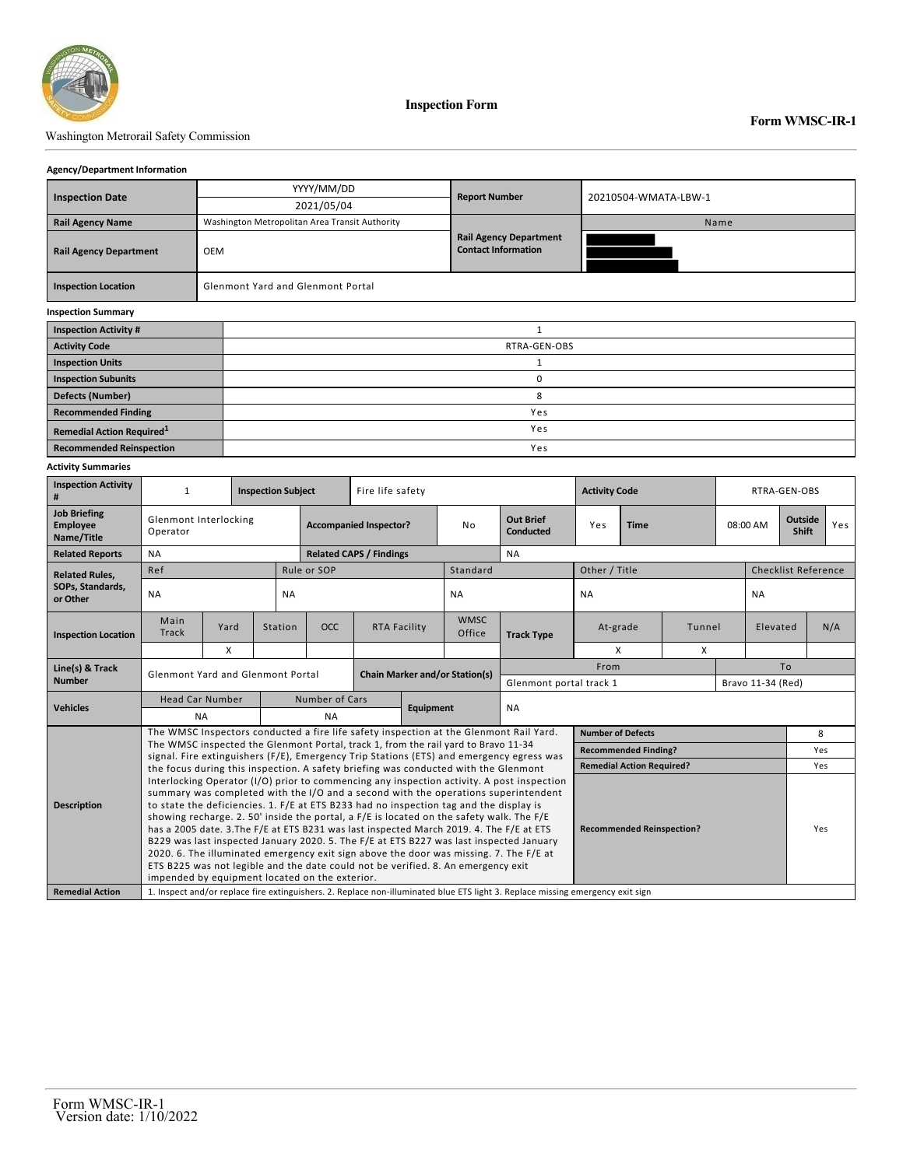

### Washington Metrorail Safety Commission

### **Form WMSC-IR-1**

### **Agency/Department Information**

| <b>Inspection Date</b>                        |                                                |                                          | YYYY/MM/DD                     |                  |              | <b>Report Number</b>                                        |                      | 20210504-WMATA-LBW-1 |              |                  |     |  |  |
|-----------------------------------------------|------------------------------------------------|------------------------------------------|--------------------------------|------------------|--------------|-------------------------------------------------------------|----------------------|----------------------|--------------|------------------|-----|--|--|
|                                               |                                                |                                          | 2021/05/04                     |                  |              |                                                             |                      |                      |              |                  |     |  |  |
| <b>Rail Agency Name</b>                       | Washington Metropolitan Area Transit Authority |                                          |                                |                  |              |                                                             | Name                 |                      |              |                  |     |  |  |
| <b>Rail Agency Department</b><br><b>OEM</b>   |                                                |                                          |                                |                  |              | <b>Rail Agency Department</b><br><b>Contact Information</b> |                      |                      |              |                  |     |  |  |
| <b>Inspection Location</b>                    |                                                | <b>Glenmont Yard and Glenmont Portal</b> |                                |                  |              |                                                             |                      |                      |              |                  |     |  |  |
| <b>Inspection Summary</b>                     |                                                |                                          |                                |                  |              |                                                             |                      |                      |              |                  |     |  |  |
| <b>Inspection Activity #</b>                  |                                                |                                          |                                |                  | $\mathbf{1}$ |                                                             |                      |                      |              |                  |     |  |  |
| <b>Activity Code</b>                          | RTRA-GEN-OBS                                   |                                          |                                |                  |              |                                                             |                      |                      |              |                  |     |  |  |
| <b>Inspection Units</b>                       | 1                                              |                                          |                                |                  |              |                                                             |                      |                      |              |                  |     |  |  |
| <b>Inspection Subunits</b>                    | 0                                              |                                          |                                |                  |              |                                                             |                      |                      |              |                  |     |  |  |
| <b>Defects (Number)</b>                       |                                                |                                          |                                |                  |              | 8                                                           |                      |                      |              |                  |     |  |  |
| <b>Recommended Finding</b>                    | Yes                                            |                                          |                                |                  |              |                                                             |                      |                      |              |                  |     |  |  |
| Remedial Action Required <sup>1</sup>         | Yes                                            |                                          |                                |                  |              |                                                             |                      |                      |              |                  |     |  |  |
| <b>Recommended Reinspection</b>               | Yes                                            |                                          |                                |                  |              |                                                             |                      |                      |              |                  |     |  |  |
| <b>Activity Summaries</b>                     |                                                |                                          |                                |                  |              |                                                             |                      |                      |              |                  |     |  |  |
| <b>Inspection Activity</b><br>#               | 1                                              | <b>Inspection Subject</b>                |                                | Fire life safety |              |                                                             | <b>Activity Code</b> |                      | RTRA-GEN-OBS |                  |     |  |  |
| <b>Job Briefing</b><br>Employee<br>Name/Title | Glenmont Interlocking<br>Operator              |                                          | <b>Accompanied Inspector?</b>  |                  | No           | <b>Out Brief</b><br><b>Conducted</b>                        | Yes                  | <b>Time</b>          | 08:00 AM     | Outside<br>Shift | Yes |  |  |
| <b>Related Reports</b><br><b>NA</b>           |                                                |                                          | <b>Related CAPS / Findings</b> |                  |              | <b>NA</b>                                                   |                      |                      |              |                  |     |  |  |

| <b>Related Reports</b>       | <b>NA</b><br><b>Related CAPS / Findings</b><br><b>NA</b>                                                                                                                                                                                                                                                                                                                                                             |      |                                       |                                  |                          |                                  |                         |                   |               |                   |    |                            |     |
|------------------------------|----------------------------------------------------------------------------------------------------------------------------------------------------------------------------------------------------------------------------------------------------------------------------------------------------------------------------------------------------------------------------------------------------------------------|------|---------------------------------------|----------------------------------|--------------------------|----------------------------------|-------------------------|-------------------|---------------|-------------------|----|----------------------------|-----|
| <b>Related Rules,</b>        | Ref                                                                                                                                                                                                                                                                                                                                                                                                                  |      |                                       | Rule or SOP                      |                          |                                  | Standard                |                   | Other / Title |                   |    | <b>Checklist Reference</b> |     |
| SOPs, Standards,<br>or Other | <b>NA</b>                                                                                                                                                                                                                                                                                                                                                                                                            |      | <b>NA</b>                             |                                  |                          |                                  | <b>NA</b>               |                   | <b>NA</b>     |                   |    | <b>NA</b>                  |     |
| <b>Inspection Location</b>   | Main<br>Track                                                                                                                                                                                                                                                                                                                                                                                                        | Yard | Station                               | OCC                              | <b>RTA Facility</b>      |                                  | <b>WMSC</b><br>Office   | <b>Track Type</b> | At-grade      | Tunnel            |    | Elevated                   | N/A |
|                              |                                                                                                                                                                                                                                                                                                                                                                                                                      | X    |                                       |                                  |                          |                                  |                         |                   | X             | X                 |    |                            |     |
| Line(s) & Track              | Glenmont Yard and Glenmont Portal                                                                                                                                                                                                                                                                                                                                                                                    |      | <b>Chain Marker and/or Station(s)</b> |                                  |                          |                                  |                         | From              |               |                   | To |                            |     |
| <b>Number</b>                |                                                                                                                                                                                                                                                                                                                                                                                                                      |      |                                       |                                  |                          |                                  | Glenmont portal track 1 |                   |               | Bravo 11-34 (Red) |    |                            |     |
| <b>Vehicles</b>              | <b>Head Car Number</b>                                                                                                                                                                                                                                                                                                                                                                                               |      | <b>Number of Cars</b>                 |                                  | <b>Equipment</b>         |                                  | <b>NA</b>               |                   |               |                   |    |                            |     |
|                              | <b>NA</b>                                                                                                                                                                                                                                                                                                                                                                                                            |      | <b>NA</b>                             |                                  |                          |                                  |                         |                   |               |                   |    |                            |     |
| <b>Description</b>           | The WMSC Inspectors conducted a fire life safety inspection at the Glenmont Rail Yard.                                                                                                                                                                                                                                                                                                                               |      |                                       |                                  | <b>Number of Defects</b> |                                  |                         |                   | 8             |                   |    |                            |     |
|                              | The WMSC inspected the Glenmont Portal, track 1, from the rail yard to Bravo 11-34<br>signal. Fire extinguishers (F/E), Emergency Trip Stations (ETS) and emergency egress was                                                                                                                                                                                                                                       |      |                                       | <b>Recommended Finding?</b>      |                          |                                  |                         | Yes               |               |                   |    |                            |     |
|                              | the focus during this inspection. A safety briefing was conducted with the Glenmont                                                                                                                                                                                                                                                                                                                                  |      |                                       | <b>Remedial Action Required?</b> |                          |                                  |                         | Yes               |               |                   |    |                            |     |
|                              | Interlocking Operator (I/O) prior to commencing any inspection activity. A post inspection<br>summary was completed with the I/O and a second with the operations superintendent<br>to state the deficiencies. 1. F/E at ETS B233 had no inspection tag and the display is<br>showing recharge. 2. 50' inside the portal, a F/E is located on the safety walk. The F/E                                               |      |                                       |                                  |                          | <b>Recommended Reinspection?</b> |                         |                   |               |                   |    |                            |     |
|                              | has a 2005 date. 3. The F/E at ETS B231 was last inspected March 2019. 4. The F/E at ETS<br>B229 was last inspected January 2020. 5. The F/E at ETS B227 was last inspected January<br>2020. 6. The illuminated emergency exit sign above the door was missing. 7. The F/E at<br>ETS B225 was not legible and the date could not be verified. 8. An emergency exit<br>impended by equipment located on the exterior. |      |                                       |                                  |                          |                                  |                         |                   |               | Yes               |    |                            |     |
| <b>Remedial Action</b>       | 1. Inspect and/or replace fire extinguishers. 2. Replace non-illuminated blue ETS light 3. Replace missing emergency exit sign                                                                                                                                                                                                                                                                                       |      |                                       |                                  |                          |                                  |                         |                   |               |                   |    |                            |     |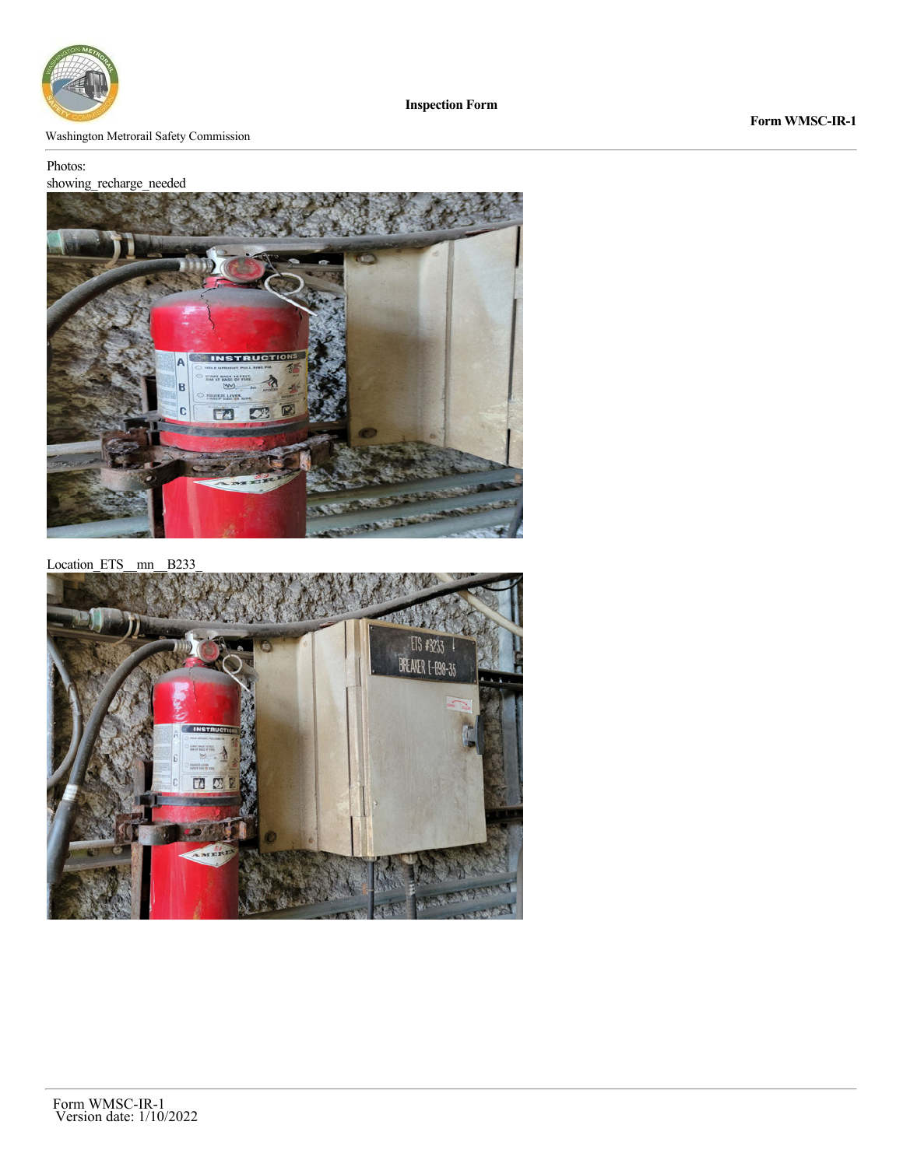

Washington Metrorail Safety Commission

### Photos:

# showing\_recharge\_needed



Location\_ETS\_\_mn\_\_B233\_

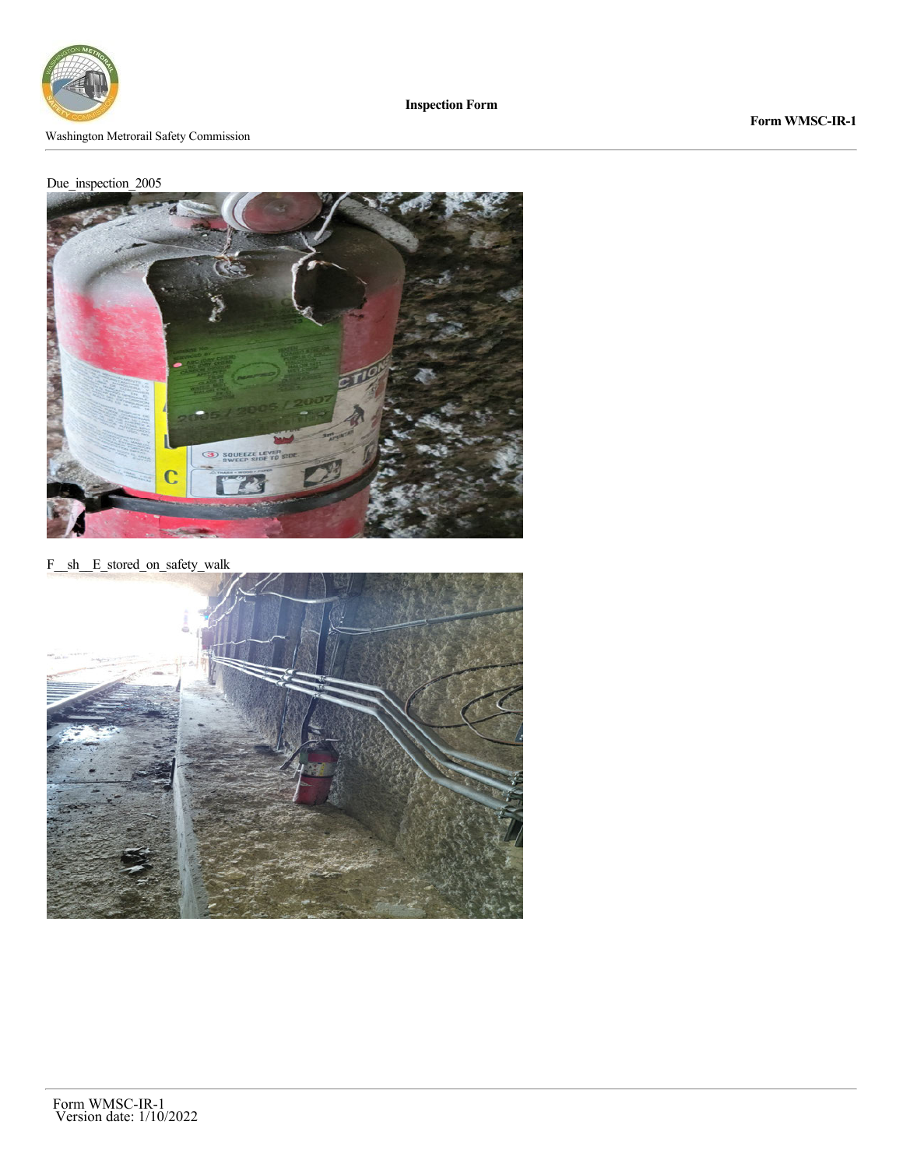

# **Form WMSC-IR-1**



F\_\_sh\_\_E\_stored\_on\_safety\_walk

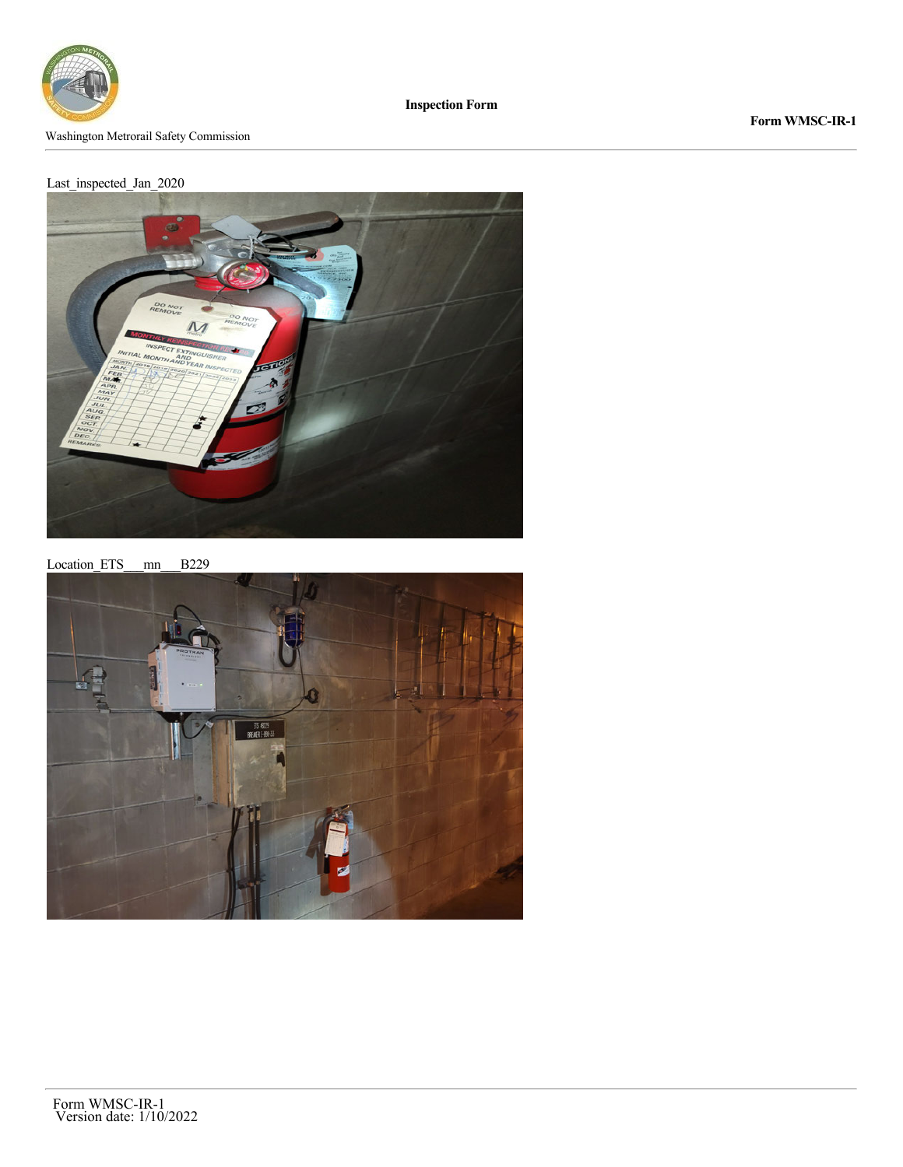

# **Form WMSC-IR-1**



Location\_ETS\_\_\_mn\_\_\_B229